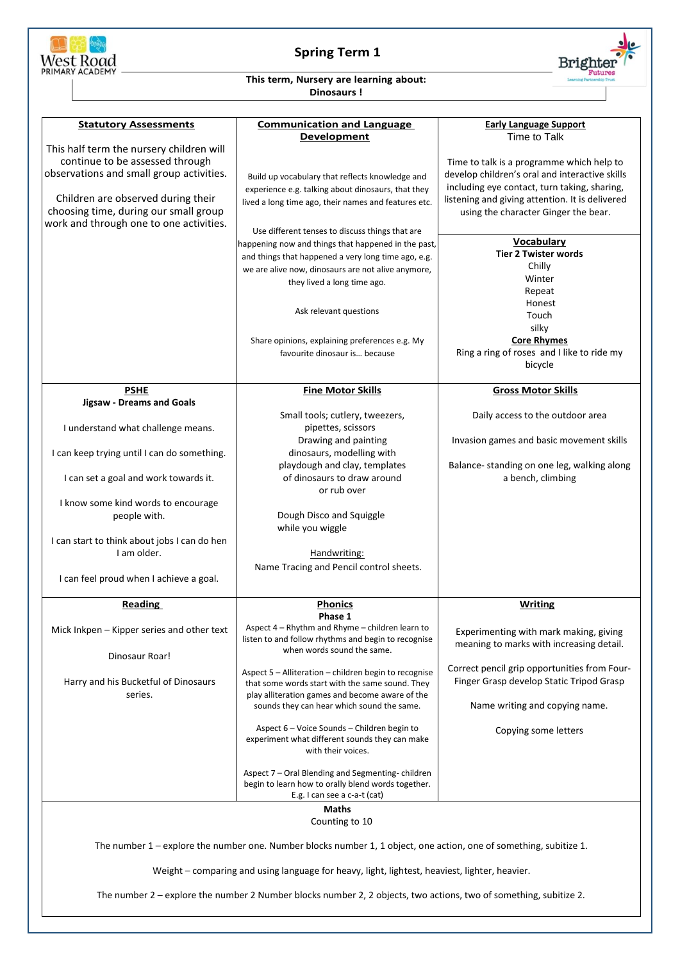

## **Spring Term 1**



## **This term, Nursery are learning about: Dinosaurs !**

| <b>Statutory Assessments</b>                 |                                                                                                                    |                                                  |
|----------------------------------------------|--------------------------------------------------------------------------------------------------------------------|--------------------------------------------------|
|                                              | <b>Communication and Language</b>                                                                                  | <b>Early Language Support</b>                    |
|                                              | <b>Development</b>                                                                                                 | Time to Talk                                     |
| This half term the nursery children will     |                                                                                                                    |                                                  |
| continue to be assessed through              |                                                                                                                    | Time to talk is a programme which help to        |
| observations and small group activities.     | Build up vocabulary that reflects knowledge and                                                                    | develop children's oral and interactive skills   |
|                                              | experience e.g. talking about dinosaurs, that they                                                                 | including eye contact, turn taking, sharing,     |
| Children are observed during their           | lived a long time ago, their names and features etc.                                                               | listening and giving attention. It is delivered  |
| choosing time, during our small group        |                                                                                                                    | using the character Ginger the bear.             |
| work and through one to one activities.      |                                                                                                                    |                                                  |
|                                              | Use different tenses to discuss things that are                                                                    |                                                  |
|                                              | happening now and things that happened in the past,                                                                | <b>Vocabulary</b><br><b>Tier 2 Twister words</b> |
|                                              | and things that happened a very long time ago, e.g.                                                                | Chilly                                           |
|                                              | we are alive now, dinosaurs are not alive anymore,                                                                 | Winter                                           |
|                                              | they lived a long time ago.                                                                                        | Repeat                                           |
|                                              |                                                                                                                    | Honest                                           |
|                                              | Ask relevant questions                                                                                             | Touch                                            |
|                                              |                                                                                                                    | silky                                            |
|                                              | Share opinions, explaining preferences e.g. My                                                                     | <b>Core Rhymes</b>                               |
|                                              | favourite dinosaur is because                                                                                      | Ring a ring of roses and I like to ride my       |
|                                              |                                                                                                                    | bicycle                                          |
|                                              |                                                                                                                    |                                                  |
| <b>PSHE</b>                                  | <b>Fine Motor Skills</b>                                                                                           | <b>Gross Motor Skills</b>                        |
| <b>Jigsaw - Dreams and Goals</b>             |                                                                                                                    |                                                  |
|                                              | Small tools; cutlery, tweezers,                                                                                    | Daily access to the outdoor area                 |
| I understand what challenge means.           | pipettes, scissors                                                                                                 |                                                  |
|                                              | Drawing and painting                                                                                               | Invasion games and basic movement skills         |
| I can keep trying until I can do something.  | dinosaurs, modelling with                                                                                          |                                                  |
|                                              | playdough and clay, templates                                                                                      | Balance- standing on one leg, walking along      |
| I can set a goal and work towards it.        | of dinosaurs to draw around                                                                                        | a bench, climbing                                |
|                                              | or rub over                                                                                                        |                                                  |
| I know some kind words to encourage          |                                                                                                                    |                                                  |
| people with.                                 | Dough Disco and Squiggle                                                                                           |                                                  |
|                                              | while you wiggle                                                                                                   |                                                  |
| I can start to think about jobs I can do hen |                                                                                                                    |                                                  |
| Lam older.                                   | Handwriting:                                                                                                       |                                                  |
|                                              | Name Tracing and Pencil control sheets.                                                                            |                                                  |
| I can feel proud when I achieve a goal.      |                                                                                                                    |                                                  |
|                                              |                                                                                                                    |                                                  |
| Reading                                      | <b>Phonics</b>                                                                                                     | Writing                                          |
|                                              | Phase 1                                                                                                            |                                                  |
| Mick Inkpen - Kipper series and other text   | Aspect 4 - Rhythm and Rhyme - children learn to                                                                    | Experimenting with mark making, giving           |
|                                              | listen to and follow rhythms and begin to recognise                                                                | meaning to marks with increasing detail.         |
|                                              | when words sound the same.                                                                                         |                                                  |
|                                              |                                                                                                                    |                                                  |
| Dinosaur Roar!                               |                                                                                                                    |                                                  |
|                                              | Aspect 5 - Alliteration - children begin to recognise                                                              | Correct pencil grip opportunities from Four-     |
| Harry and his Bucketful of Dinosaurs         | that some words start with the same sound. They                                                                    | Finger Grasp develop Static Tripod Grasp         |
| series.                                      | play alliteration games and become aware of the<br>sounds they can hear which sound the same.                      | Name writing and copying name.                   |
|                                              |                                                                                                                    |                                                  |
|                                              | Aspect 6 – Voice Sounds – Children begin to                                                                        |                                                  |
|                                              | experiment what different sounds they can make                                                                     | Copying some letters                             |
|                                              | with their voices.                                                                                                 |                                                  |
|                                              |                                                                                                                    |                                                  |
|                                              | Aspect 7 - Oral Blending and Segmenting-children                                                                   |                                                  |
|                                              | begin to learn how to orally blend words together.<br>E.g. I can see a c-a-t (cat)                                 |                                                  |
|                                              | <b>Maths</b>                                                                                                       |                                                  |
|                                              |                                                                                                                    |                                                  |
|                                              | Counting to 10                                                                                                     |                                                  |
|                                              | The number 1 - explore the number one. Number blocks number 1, 1 object, one action, one of something, subitize 1. |                                                  |
|                                              | Weight - comparing and using language for heavy, light, lightest, heaviest, lighter, heavier.                      |                                                  |

The number 2 – explore the number 2 Number blocks number 2, 2 objects, two actions, two of something, subitize 2.